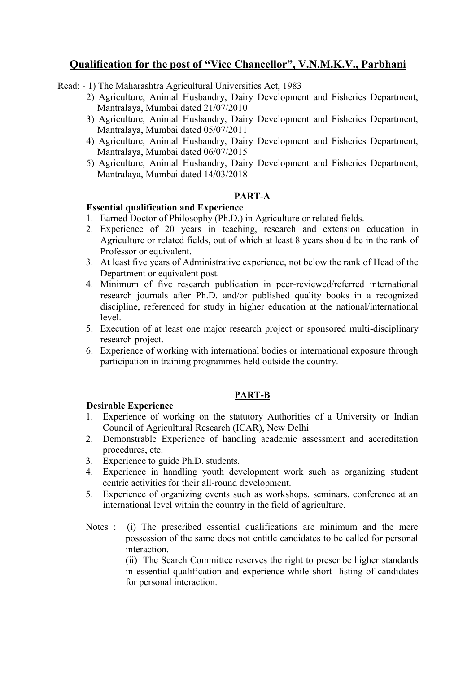# **Qualification for the post of "Vice Chancellor", V.N.M.K.V., Parbhani**

Read: - 1) The Maharashtra Agricultural Universities Act, 1983

- 2) Agriculture, Animal Husbandry, Dairy Development and Fisheries Department, Mantralaya, Mumbai dated 21/07/2010
- 3) Agriculture, Animal Husbandry, Dairy Development and Fisheries Department, Mantralaya, Mumbai dated 05/07/2011
- 4) Agriculture, Animal Husbandry, Dairy Development and Fisheries Department, Mantralaya, Mumbai dated 06/07/2015
- 5) Agriculture, Animal Husbandry, Dairy Development and Fisheries Department, Mantralaya, Mumbai dated 14/03/2018

## **PART-A**

# **Essential qualification and Experience**

- 1. Earned Doctor of Philosophy (Ph.D.) in Agriculture or related fields.
- 2. Experience of 20 years in teaching, research and extension education in Agriculture or related fields, out of which at least 8 years should be in the rank of Professor or equivalent.
- 3. At least five years of Administrative experience, not below the rank of Head of the Department or equivalent post.
- 4. Minimum of five research publication in peer-reviewed/referred international research journals after Ph.D. and/or published quality books in a recognized discipline, referenced for study in higher education at the national/international level.
- 5. Execution of at least one major research project or sponsored multi-disciplinary research project.
- 6. Experience of working with international bodies or international exposure through participation in training programmes held outside the country.

## **PART-B**

#### **Desirable Experience**

- 1. Experience of working on the statutory Authorities of a University or Indian Council of Agricultural Research (ICAR), New Delhi
- 2. Demonstrable Experience of handling academic assessment and accreditation procedures, etc.
- 3. Experience to guide Ph.D. students.
- 4. Experience in handling youth development work such as organizing student centric activities for their all-round development.
- 5. Experience of organizing events such as workshops, seminars, conference at an international level within the country in the field of agriculture.
- Notes : (i) The prescribed essential qualifications are minimum and the mere possession of the same does not entitle candidates to be called for personal interaction.

(ii) The Search Committee reserves the right to prescribe higher standards in essential qualification and experience while short- listing of candidates for personal interaction.